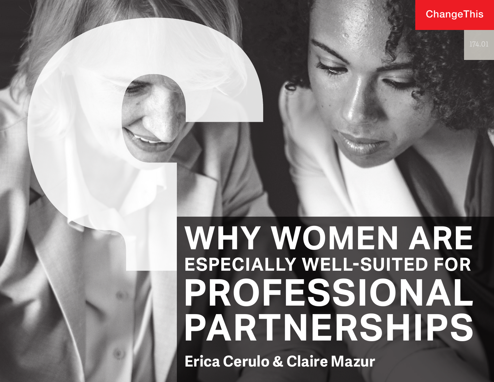### **ChangeThis**

# **WHY WOMEN ARE ESPECIALLY WELL-SUITED FOR PROFESSIONAL PARTNERSHIPS**

**Erica Cerulo & Claire Mazur**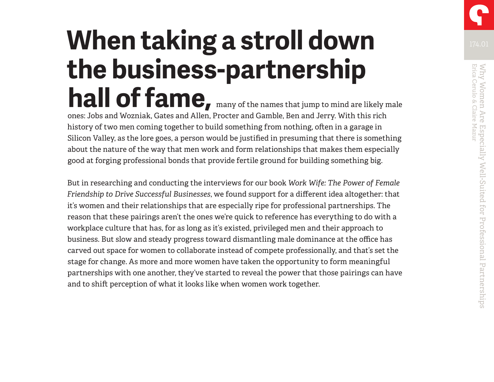## **When taking a stroll down the business-partnership**  hall of fame, many of the names that jump to mind are likely male ones: Jobs and Wozniak, Gates and Allen, Procter and Gamble, Ben and Jerry. With this rich

history of two men coming together to build something from nothing, often in a garage in Silicon Valley, as the lore goes, a person would be justified in presuming that there is something about the nature of the way that men work and form relationships that makes them especially good at forging professional bonds that provide fertile ground for building something big.

But in researching and conducting the interviews for our book *Work Wife: The Power of Female Friendship to Drive Successful Businesses*, we found support for a different idea altogether: that it's women and their relationships that are especially ripe for professional partnerships. The reason that these pairings aren't the ones we're quick to reference has everything to do with a workplace culture that has, for as long as it's existed, privileged men and their approach to business. But slow and steady progress toward dismantling male dominance at the office has carved out space for women to collaborate instead of compete professionally, and that's set the stage for change. As more and more women have taken the opportunity to form meaningful partnerships with one another, they've started to reveal the power that those pairings can have and to shift perception of what it looks like when women work together.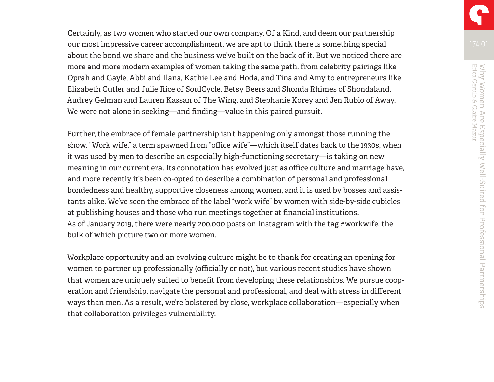Certainly, as two women who started our own company, Of a Kind, and deem our partnership our most impressive career accomplishment, we are apt to think there is something special about the bond we share and the business we've built on the back of it. But we noticed there are more and more modern examples of women taking the same path, from celebrity pairings like Oprah and Gayle, Abbi and Ilana, Kathie Lee and Hoda, and Tina and Amy to entrepreneurs like Elizabeth Cutler and Julie Rice of SoulCycle, Betsy Beers and Shonda Rhimes of Shondaland, Audrey Gelman and Lauren Kassan of The Wing, and Stephanie Korey and Jen Rubio of Away. We were not alone in seeking—and finding—value in this paired pursuit.

Further, the embrace of female partnership isn't happening only amongst those running the show. "Work wife," a term spawned from "office wife"—which itself dates back to the 1930s, when it was used by men to describe an especially high-functioning secretary—is taking on new meaning in our current era. Its connotation has evolved just as office culture and marriage have, and more recently it's been co-opted to describe a combination of personal and professional bondedness and healthy, supportive closeness among women, and it is used by bosses and assistants alike. We've seen the embrace of the label "work wife" by women with side-by-side cubicles at publishing houses and those who run meetings together at financial institutions. As of January 2019, there were nearly 200,000 posts on Instagram with the tag #workwife, the bulk of which picture two or more women.

Workplace opportunity and an evolving culture might be to thank for creating an opening for women to partner up professionally (officially or not), but various recent studies have shown that women are uniquely suited to benefit from developing these relationships. We pursue cooperation and friendship, navigate the personal and professional, and deal with stress in different ways than men. As a result, we're bolstered by close, workplace collaboration—especially when that collaboration privileges vulnerability.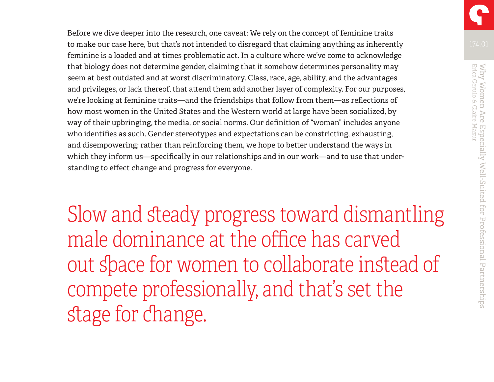Before we dive deeper into the research, one caveat: We rely on the concept of feminine traits to make our case here, but that's not intended to disregard that claiming anything as inherently feminine is a loaded and at times problematic act. In a culture where we've come to acknowledge that biology does not determine gender, claiming that it somehow determines personality may seem at best outdated and at worst discriminatory. Class, race, age, ability, and the advantages and privileges, or lack thereof, that attend them add another layer of complexity. For our purposes, we're looking at feminine traits—and the friendships that follow from them—as reflections of how most women in the United States and the Western world at large have been socialized, by way of their upbringing, the media, or social norms. Our definition of "woman" includes anyone who identifies as such. Gender stereotypes and expectations can be constricting, exhausting, and disempowering; rather than reinforcing them, we hope to better understand the ways in which they inform us—specifically in our relationships and in our work—and to use that understanding to effect change and progress for everyone.

Slow and steady progress toward dismantling male dominance at the office has carved out space for women to collaborate instead of compete professionally, and that's set the stage for change.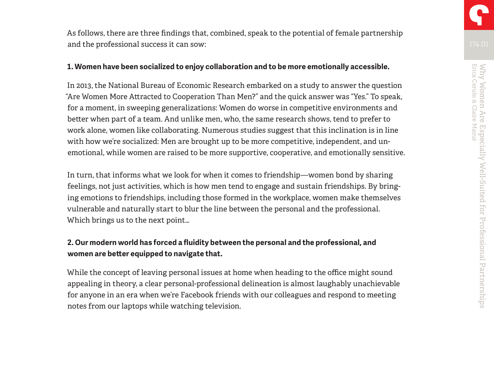

As follows, there are three findings that, combined, speak to the potential of female partnership and the professional success it can sow:

### **1. Women have been socialized to enjoy collaboration and to be more emotionally accessible.**

In 2013, the National Bureau of Economic Research embarked on a study to answer the question "Are Women More Attracted to Cooperation Than Men?" and the quick answer was "Yes." To speak, for a moment, in sweeping generalizations: Women do worse in competitive environments and better when part of a team. And unlike men, who, the same research shows, tend to prefer to work alone, women like collaborating. Numerous studies suggest that this inclination is in line with how we're socialized: Men are brought up to be more competitive, independent, and unemotional, while women are raised to be more supportive, cooperative, and emotionally sensitive.

In turn, that informs what we look for when it comes to friendship—women bond by sharing feelings, not just activities, which is how men tend to engage and sustain friendships. By bringing emotions to friendships, including those formed in the workplace, women make themselves vulnerable and naturally start to blur the line between the personal and the professional. Which brings us to the next point…

### **2. Our modern world has forced a fluidity between the personal and the professional, and women are better equipped to navigate that.**

While the concept of leaving personal issues at home when heading to the office might sound appealing in theory, a clear personal-professional delineation is almost laughably unachievable for anyone in an era when we're Facebook friends with our colleagues and respond to meeting notes from our laptops while watching television.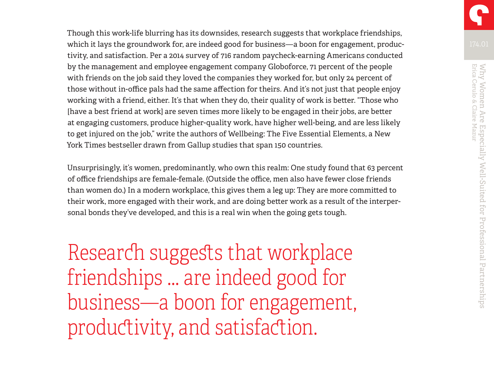Though this work-life blurring has its downsides, research suggests that workplace friendships, which it lays the groundwork for, are indeed good for business—a boon for engagement, productivity, and satisfaction. Per a 2014 survey of 716 random paycheck-earning Americans conducted by the management and employee engagement company Globoforce, 71 percent of the people with friends on the job said they loved the companies they worked for, but only 24 percent of those without in-office pals had the same affection for theirs. And it's not just that people enjoy working with a friend, either. It's that when they do, their quality of work is better. "Those who [have a best friend at work] are seven times more likely to be engaged in their jobs, are better at engaging customers, produce higher-quality work, have higher well-being, and are less likely to get injured on the job," write the authors of Wellbeing: The Five Essential Elements, a New York Times bestseller drawn from Gallup studies that span 150 countries.

Unsurprisingly, it's women, predominantly, who own this realm: One study found that 63 percent of office friendships are female-female. (Outside the office, men also have fewer close friends than women do.) In a modern workplace, this gives them a leg up: They are more committed to their work, more engaged with their work, and are doing better work as a result of the interpersonal bonds they've developed, and this is a real win when the going gets tough.

Research suggests that workplace friendships … are indeed good for business—a boon for engagement, productivity, and satisfaction.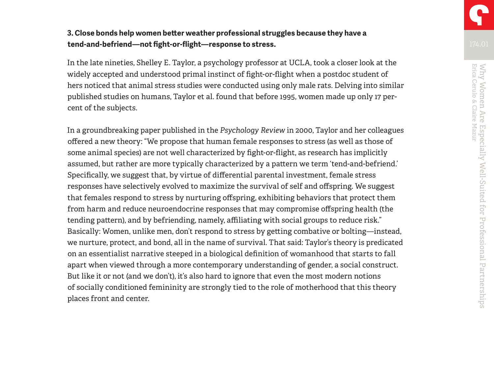### **3. Close bonds help women better weather professional struggles because they have a tend-and-befriend—not fight-or-flight—response to stress.**

In the late nineties, Shelley E. Taylor, a psychology professor at UCLA, took a closer look at the widely accepted and understood primal instinct of fight-or-flight when a postdoc student of hers noticed that animal stress studies were conducted using only male rats. Delving into similar published studies on humans, Taylor et al. found that before 1995, women made up only 17 percent of the subjects.

In a groundbreaking paper published in the *Psychology Review* in 2000, Taylor and her colleagues offered a new theory: "We propose that human female responses to stress (as well as those of some animal species) are not well characterized by fight-or-flight, as research has implicitly assumed, but rather are more typically characterized by a pattern we term 'tend-and-befriend.' Specifically, we suggest that, by virtue of differential parental investment, female stress responses have selectively evolved to maximize the survival of self and offspring. We suggest that females respond to stress by nurturing offspring, exhibiting behaviors that protect them from harm and reduce neuroendocrine responses that may compromise offspring health (the tending pattern), and by befriending, namely, affiliating with social groups to reduce risk." Basically: Women, unlike men, don't respond to stress by getting combative or bolting—instead, we nurture, protect, and bond, all in the name of survival. That said: Taylor's theory is predicated on an essentialist narrative steeped in a biological definition of womanhood that starts to fall apart when viewed through a more contemporary understanding of gender, a social construct. But like it or not (and we don't), it's also hard to ignore that even the most modern notions of socially conditioned femininity are strongly tied to the role of motherhood that this theory places front and center.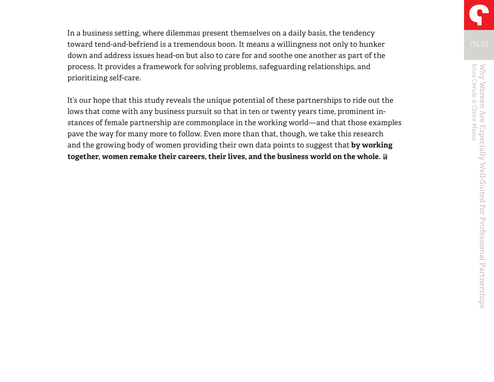In a business setting, where dilemmas present themselves on a daily basis, the tendency toward tend-and-befriend is a tremendous boon. It means a willingness not only to hunker down and address issues head-on but also to care for and soothe one another as part of the process. It provides a framework for solving problems, safeguarding relationships, and prioritizing self-care.

It's our hope that this study reveals the unique potential of these partnerships to ride out the lows that come with any business pursuit so that in ten or twenty years time, prominent instances of female partnership are commonplace in the working world—and that those examples pave the way for many more to follow. Even more than that, though, we take this research and the growing body of women providing their own data points to suggest that **by working together, women remake their careers, their lives, and the business world on the whole.**